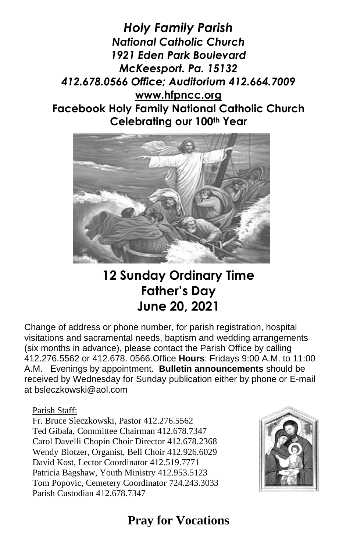*Holy Family Parish National Catholic Church 1921 Eden Park Boulevard McKeesport. Pa. 15132 412.678.0566 Office; Auditorium 412.664.7009* **[www.hfpncc.org](http://www.hfpncc.org/) Facebook Holy Family National Catholic Church Celebrating our 100th Year**



# **12 Sunday Ordinary Time Father's Day June 20, 2021**

Change of address or phone number, for parish registration, hospital visitations and sacramental needs, baptism and wedding arrangements (six months in advance), please contact the Parish Office by calling 412.276.5562 or 412.678. 0566.Office **Hours**: Fridays 9:00 A.M. to 11:00 A.M. Evenings by appointment. **Bulletin announcements** should be received by Wednesday for Sunday publication either by phone or E-mail at [bsleczkowski@aol.com](mailto:bsleczkowski@aol.com)

Parish Staff:

Fr. Bruce Sleczkowski, Pastor 412.276.5562 Ted Gibala, Committee Chairman 412.678.7347 Carol Davelli Chopin Choir Director 412.678.2368 Wendy Blotzer, Organist, Bell Choir 412.926.6029 David Kost, Lector Coordinator 412.519.7771 Patricia Bagshaw, Youth Ministry 412.953.5123 Tom Popovic, Cemetery Coordinator 724.243.3033 Parish Custodian 412.678.7347



# **Pray for Vocations**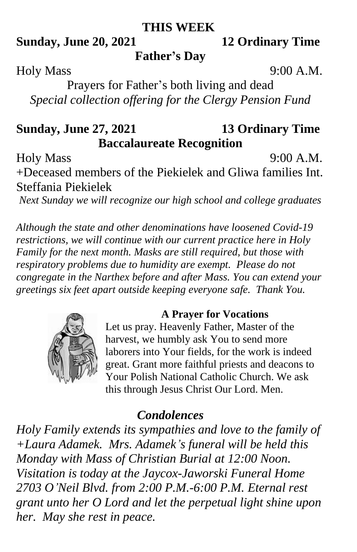#### **THIS WEEK**

### **Sunday, June 20, 2021 12 Ordinary Time**

**Father's Day**

Holy Mass 9:00 A.M.

Prayers for Father's both living and dead *Special collection offering for the Clergy Pension Fund*

## **Sunday, June 27, 2021 13 Ordinary Time Baccalaureate Recognition**

Holy Mass 9:00 A.M.

+Deceased members of the Piekielek and Gliwa families Int. Steffania Piekielek

*Next Sunday we will recognize our high school and college graduates*

*Although the state and other denominations have loosened Covid-19 restrictions, we will continue with our current practice here in Holy Family for the next month. Masks are still required, but those with respiratory problems due to humidity are exempt. Please do not congregate in the Narthex before and after Mass. You can extend your greetings six feet apart outside keeping everyone safe. Thank You.*



#### **A Prayer for Vocations**

Let us pray. Heavenly Father, Master of the harvest, we humbly ask You to send more laborers into Your fields, for the work is indeed great. Grant more faithful priests and deacons to Your Polish National Catholic Church. We ask this through Jesus Christ Our Lord. Men.

### *Condolences*

*Holy Family extends its sympathies and love to the family of +Laura Adamek. Mrs. Adamek's funeral will be held this Monday with Mass of Christian Burial at 12:00 Noon. Visitation is today at the Jaycox-Jaworski Funeral Home 2703 O'Neil Blvd. from 2:00 P.M.-6:00 P.M. Eternal rest grant unto her O Lord and let the perpetual light shine upon her. May she rest in peace.*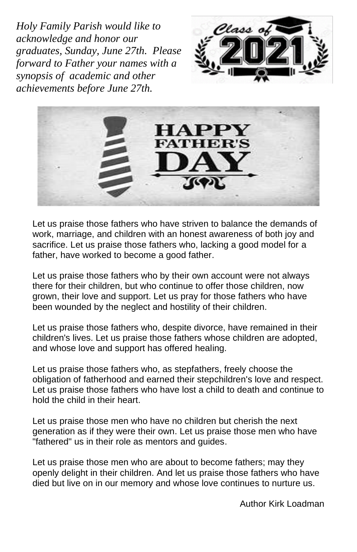*Holy Family Parish would like to acknowledge and honor our graduates, Sunday, June 27th. Please forward to Father your names with a synopsis of academic and other achievements before June 27th.*





Let us praise those fathers who have striven to balance the demands of work, marriage, and children with an honest awareness of both joy and sacrifice. Let us praise those fathers who, lacking a good model for a father, have worked to become a good father.

Let us praise those fathers who by their own account were not always there for their children, but who continue to offer those children, now grown, their love and support. Let us pray for those fathers who have been wounded by the neglect and hostility of their children.

Let us praise those fathers who, despite divorce, have remained in their children's lives. Let us praise those fathers whose children are adopted, and whose love and support has offered healing.

Let us praise those fathers who, as stepfathers, freely choose the obligation of fatherhood and earned their stepchildren's love and respect. Let us praise those fathers who have lost a child to death and continue to hold the child in their heart.

Let us praise those men who have no children but cherish the next generation as if they were their own. Let us praise those men who have "fathered" us in their role as mentors and guides.

Let us praise those men who are about to become fathers; may they openly delight in their children. And let us praise those fathers who have died but live on in our memory and whose love continues to nurture us.

Author Kirk Loadman